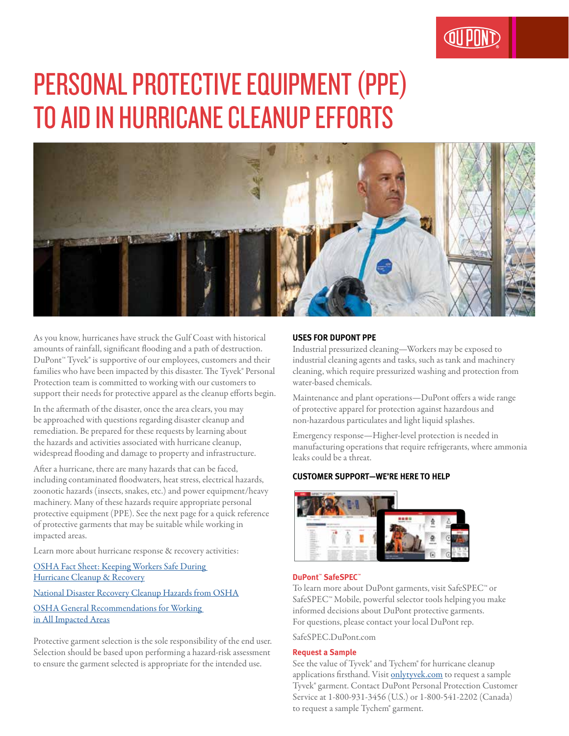# PERSONAL PROTECTIVE EQUIPMENT (PPE) TO AID IN HURRICANE CLEANUP EFFORTS



As you know, hurricanes have struck the Gulf Coast with historical amounts of rainfall, significant flooding and a path of destruction. DuPont<sup>™</sup> Tyvek® is supportive of our employees, customers and their families who have been impacted by this disaster. The Tyvek® Personal Protection team is committed to working with our customers to support their needs for protective apparel as the cleanup efforts begin.

In the aftermath of the disaster, once the area clears, you may be approached with questions regarding disaster cleanup and remediation. Be prepared for these requests by learning about the hazards and activities associated with hurricane cleanup, widespread flooding and damage to property and infrastructure.

After a hurricane, there are many hazards that can be faced, including contaminated floodwaters, heat stress, electrical hazards, zoonotic hazards (insects, snakes, etc.) and power equipment/heavy machinery. Many of these hazards require appropriate personal protective equipment (PPE). See the next page for a quick reference of protective garments that may be suitable while working in impacted areas.

Learn more about hurricane response & recovery activities:

OSHA Fact Sheet: Keeping Workers Safe During Hurricane Cleanup & Recovery

#### National Disaster Recovery Cleanup Hazards from OSHA

OSHA General Recommendations for Working in All Impacted Areas

Protective garment selection is the sole responsibility of the end user. Selection should be based upon performing a hazard-risk assessment to ensure the garment selected is appropriate for the intended use.

# **USES FOR DUPONT PPE**

Industrial pressurized cleaning—Workers may be exposed to industrial cleaning agents and tasks, such as tank and machinery cleaning, which require pressurized washing and protection from water-based chemicals.

Maintenance and plant operations—DuPont offers a wide range of protective apparel for protection against hazardous and non-hazardous particulates and light liquid splashes.

Emergency response—Higher-level protection is needed in manufacturing operations that require refrigerants, where ammonia leaks could be a threat.

## **CUSTOMER SUPPORT—WE'RE HERE TO HELP**



### **DuPont™ SafeSPEC™**

To learn more about DuPont garments, visit SafeSPEC™ or SafeSPEC™ Mobile, powerful selector tools helping you make informed decisions about DuPont protective garments. For questions, please contact your local DuPont rep.

SafeSPEC.DuPont.com

#### **Request a Sample**

See the value of Tyvek® and Tychem® for hurricane cleanup applications firsthand. Visit onlytyvek.com to request a sample Tyvek® garment. Contact DuPont Personal Protection Customer Service at 1-800-931-3456 (U.S.) or 1-800-541-2202 (Canada) to request a sample Tychem® garment.